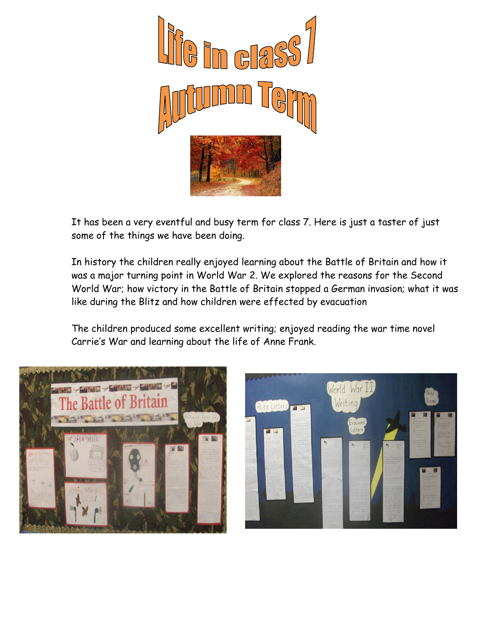

It has been a very eventful and busy term for class 7. Here is just a taster of just some of the things we have been doing.

In history the children really enjoyed learning about the Battle of Britain and how it was a major turning point in World War 2. We explored the reasons for the Second World War; how victory in the Battle of Britain stopped a German invasion; what it was like during the Blitz and how children were effected by evacuation

The children produced some excellent writing; enjoyed reading the war time novel Carrie's War and learning about the life of Anne Frank.



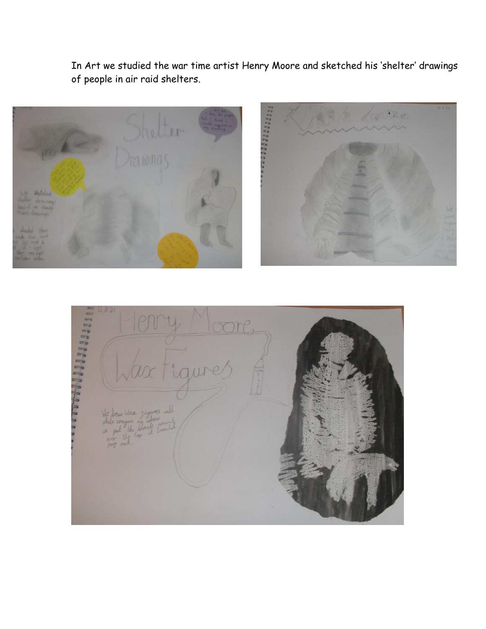In Art we studied the war time artist Henry Moore and sketched his 'shelter' drawings of people in air raid shelters.



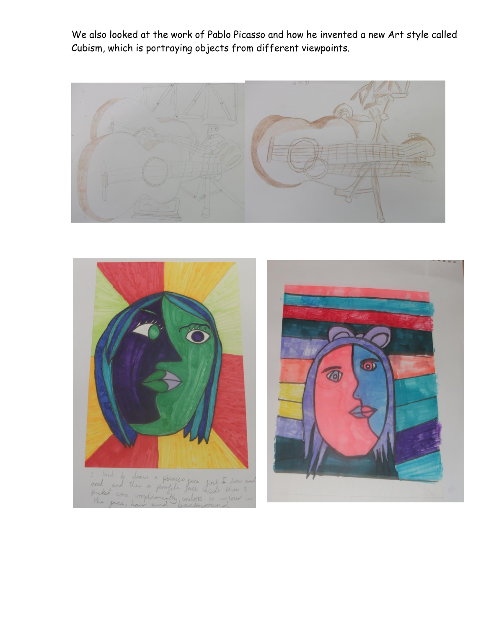We also looked at the work of Pablo Picasso and how he invented a new Art style called Cubism, which is portraying objects from different viewpoints.



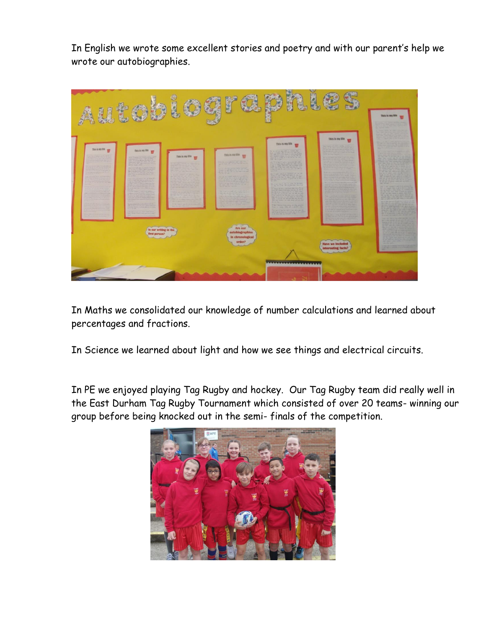In English we wrote some excellent stories and poetry and with our parent's help we wrote our autobiographies.



In Maths we consolidated our knowledge of number calculations and learned about percentages and fractions.

In Science we learned about light and how we see things and electrical circuits.

In PE we enjoyed playing Tag Rugby and hockey. Our Tag Rugby team did really well in the East Durham Tag Rugby Tournament which consisted of over 20 teams- winning our group before being knocked out in the semi- finals of the competition.